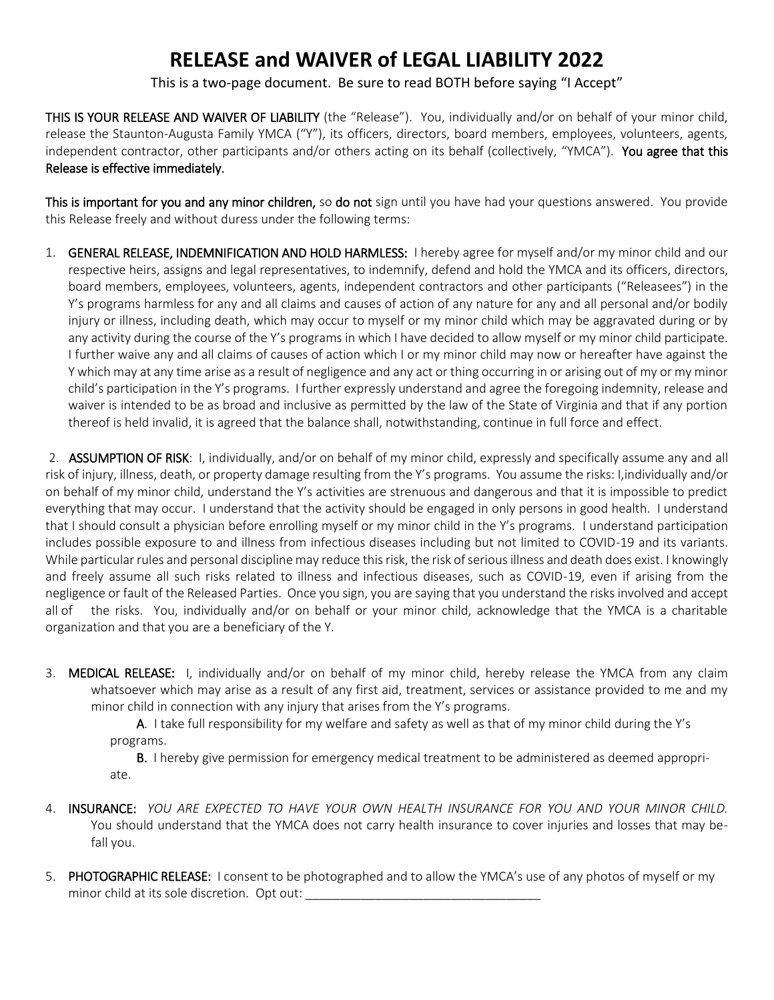## **RELEASE and WAIVER of LEGAL LIABILITY 2022**

This is a two-page document. Be sure to read BOTH before saying "I Accept"

THIS IS YOUR RELEASE AND WAIVER OF LIABILITY (the "Release"). You, individually and/or on behalf of your minor child, release the Staunton-Augusta Family YMCA ("Y"), its officers, directors, board members, employees, volunteers, agents, independent contractor, other participants and/or others acting on its behalf (collectively, "YMCA"). You agree that this Release is effective immediately.

This is important for you and any minor children, so do not sign until you have had your questions answered. You provide this Release freely and without duress under the following terms:

1. GENERAL RELEASE, INDEMNIFICATION AND HOLD HARMLESS: I hereby agree for myself and/or my minor child and our respective heirs, assigns and legal representatives, to indemnify, defend and hold the YMCA and its officers, directors, board members, employees, volunteers, agents, independent contractors and other participants ("Releasees") in the Y's programs harmless for any and all claims and causes of action of any nature for any and all personal and/or bodily injury or illness, including death, which may occur to myself or my minor child which may be aggravated during or by any activity during the course of the Y's programs in which I have decided to allow myself or my minor child participate. I further waive any and all claims of causes of action which I or my minor child may now or hereafter have against the Y which may at any time arise as a result of negligence and any act or thing occurring in or arising out of my or my minor child's participation in the Y's programs. I further expressly understand and agree the foregoing indemnity, release and waiver is intended to be as broad and inclusive as permitted by the law of the State of Virginia and that if any portion thereof is held invalid, it is agreed that the balance shall, notwithstanding, continue in full force and effect.

2. ASSUMPTION OF RISK: I, individually, and/or on behalf of my minor child, expressly and specifically assume any and all risk of injury, illness, death, or property damage resulting from the Y's programs. You assume the risks: I,individually and/or on behalf of my minor child, understand the Y's activities are strenuous and dangerous and that it is impossible to predict everything that may occur. I understand that the activity should be engaged in only persons in good health. I understand that I should consult a physician before enrolling myself or my minor child in the Y's programs. I understand participation includes possible exposure to and illness from infectious diseases including but not limited to COVID-19 and its variants. While particular rules and personal discipline may reduce this risk, the risk of serious illness and death does exist. I knowingly and freely assume all such risks related to illness and infectious diseases, such as COVID-19, even if arising from the negligence or fault of the Released Parties. Once you sign, you are saying that you understand the risks involved and accept all of the risks. You, individually and/or on behalf or your minor child, acknowledge that the YMCA is a charitable organization and that you are a beneficiary of the Y.

3. MEDICAL RELEASE: I, individually and/or on behalf of my minor child, hereby release the YMCA from any claim whatsoever which may arise as a result of any first aid, treatment, services or assistance provided to me and my minor child in connection with any injury that arises from the Y's programs.

A. I take full responsibility for my welfare and safety as well as that of my minor child during the Y's programs.

B. I hereby give permission for emergency medical treatment to be administered as deemed appropri ate.

- 4. INSURANCE: *YOU ARE EXPECTED TO HAVE YOUR OWN HEALTH INSURANCE FOR YOU AND YOUR MINOR CHILD.* You should understand that the YMCA does not carry health insurance to cover injuries and losses that may befall you.
- 5. PHOTOGRAPHIC RELEASE: I consent to be photographed and to allow the YMCA's use of any photos of myself or my minor child at its sole discretion. Opt out: